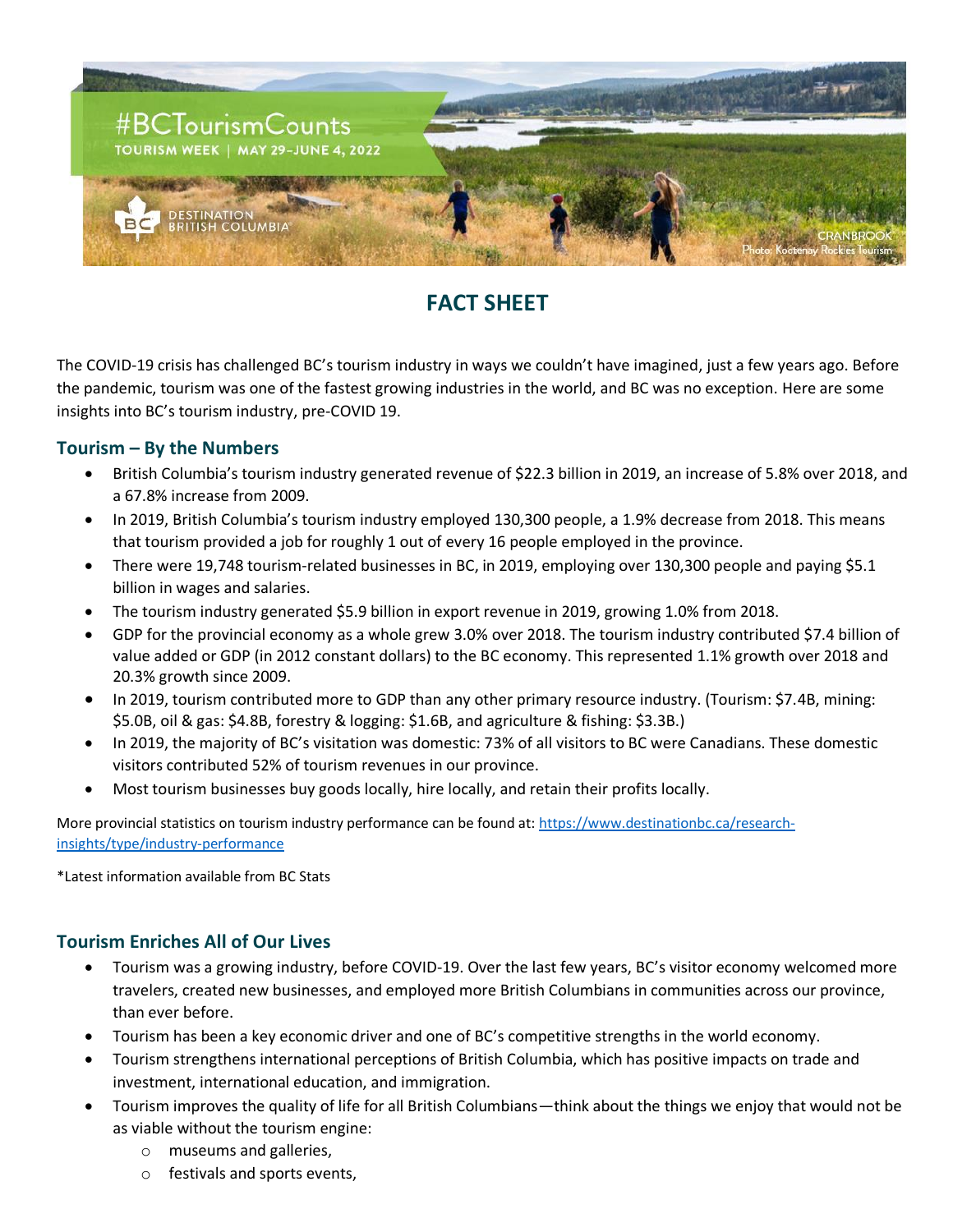

## **FACT SHEET**

The COVID-19 crisis has challenged BC's tourism industry in ways we couldn't have imagined, just a few years ago. Before the pandemic, tourism was one of the fastest growing industries in the world, and BC was no exception. Here are some insights into BC's tourism industry, pre-COVID 19.

## **Tourism – By the Numbers**

- British Columbia's tourism industry generated revenue of \$22.3 billion in 2019, an increase of 5.8% over 2018, and a 67.8% increase from 2009.
- In 2019, British Columbia's tourism industry employed 130,300 people, a 1.9% decrease from 2018. This means that tourism provided a job for roughly 1 out of every 16 people employed in the province.
- There were 19,748 tourism-related businesses in BC, in 2019, employing over 130,300 people and paying \$5.1 billion in wages and salaries.
- The tourism industry generated \$5.9 billion in export revenue in 2019, growing 1.0% from 2018.
- GDP for the provincial economy as a whole grew 3.0% over 2018. The tourism industry contributed \$7.4 billion of value added or GDP (in 2012 constant dollars) to the BC economy. This represented 1.1% growth over 2018 and 20.3% growth since 2009.
- In 2019, tourism contributed more to GDP than any other primary resource industry. (Tourism: \$7.4B, mining: \$5.0B, oil & gas: \$4.8B, forestry & logging: \$1.6B, and agriculture & fishing: \$3.3B.)
- In 2019, the majority of BC's visitation was domestic: 73% of all visitors to BC were Canadians. These domestic visitors contributed 52% of tourism revenues in our province.
- Most tourism businesses buy goods locally, hire locally, and retain their profits locally.

More provincial statistics on tourism industry performance can be found at[: https://www.destinationbc.ca/research](https://www.destinationbc.ca/research-insights/type/industry-performance)[insights/type/industry-performance](https://www.destinationbc.ca/research-insights/type/industry-performance)

\*Latest information available from BC Stats

## **Tourism Enriches All of Our Lives**

- Tourism was a growing industry, before COVID-19. Over the last few years, BC's visitor economy welcomed more travelers, created new businesses, and employed more British Columbians in communities across our province, than ever before.
- Tourism has been a key economic driver and one of BC's competitive strengths in the world economy.
- Tourism strengthens international perceptions of British Columbia, which has positive impacts on trade and investment, international education, and immigration.
- Tourism improves the quality of life for all British Columbians—think about the things we enjoy that would not be as viable without the tourism engine:
	- o museums and galleries,
	- o festivals and sports events,